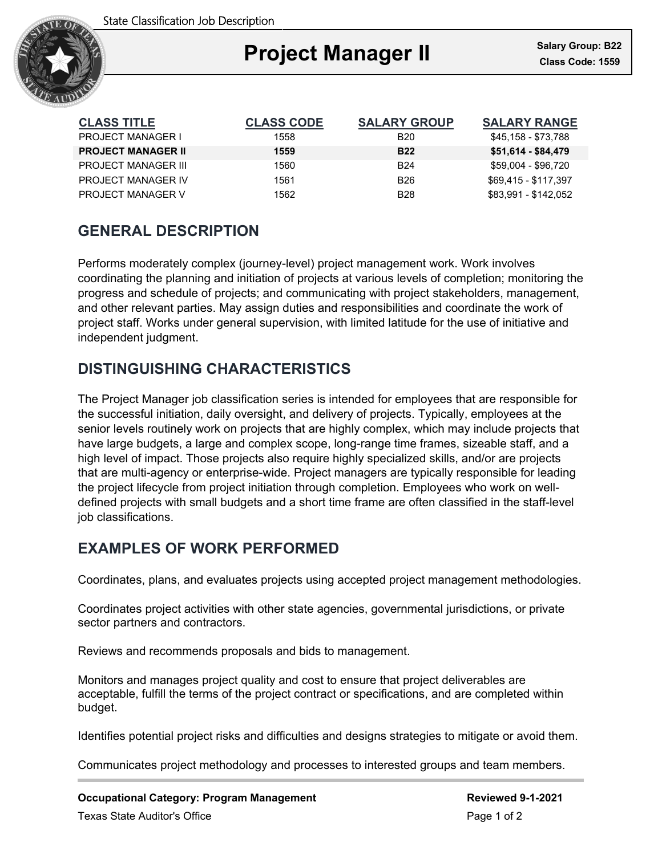

| <b>CLASS TITLE</b>         | <b>CLASS CODE</b> | <b>SALARY GROUP</b> | <b>SALARY RANGE</b>  |
|----------------------------|-------------------|---------------------|----------------------|
| <b>PROJECT MANAGER I</b>   | 1558              | <b>B20</b>          | \$45,158 - \$73,788  |
| <b>PROJECT MANAGER II</b>  | 1559              | <b>B22</b>          | \$51,614 - \$84,479  |
| <b>PROJECT MANAGER III</b> | 1560              | <b>B24</b>          | \$59,004 - \$96,720  |
| PROJECT MANAGER IV         | 1561              | <b>B26</b>          | \$69.415 - \$117.397 |
| <b>PROJECT MANAGER V</b>   | 1562              | <b>B28</b>          | \$83,991 - \$142,052 |

# **GENERAL DESCRIPTION**

Performs moderately complex (journey-level) project management work. Work involves coordinating the planning and initiation of projects at various levels of completion; monitoring the progress and schedule of projects; and communicating with project stakeholders, management, and other relevant parties. May assign duties and responsibilities and coordinate the work of project staff. Works under general supervision, with limited latitude for the use of initiative and independent judgment.

# **DISTINGUISHING CHARACTERISTICS**

The Project Manager job classification series is intended for employees that are responsible for the successful initiation, daily oversight, and delivery of projects. Typically, employees at the senior levels routinely work on projects that are highly complex, which may include projects that have large budgets, a large and complex scope, long-range time frames, sizeable staff, and a high level of impact. Those projects also require highly specialized skills, and/or are projects that are multi-agency or enterprise-wide. Project managers are typically responsible for leading the project lifecycle from project initiation through completion. Employees who work on welldefined projects with small budgets and a short time frame are often classified in the staff-level job classifications.

## **EXAMPLES OF WORK PERFORMED**

Coordinates, plans, and evaluates projects using accepted project management methodologies.

Coordinates project activities with other state agencies, governmental jurisdictions, or private sector partners and contractors.

Reviews and recommends proposals and bids to management.

Monitors and manages project quality and cost to ensure that project deliverables are acceptable, fulfill the terms of the project contract or specifications, and are completed within budget.

Identifies potential project risks and difficulties and designs strategies to mitigate or avoid them.

Communicates project methodology and processes to interested groups and team members.

**Occupational Category: Program Management Reviewed 9-1-2021** Texas State Auditor's Office **Page 1 of 2** and 2